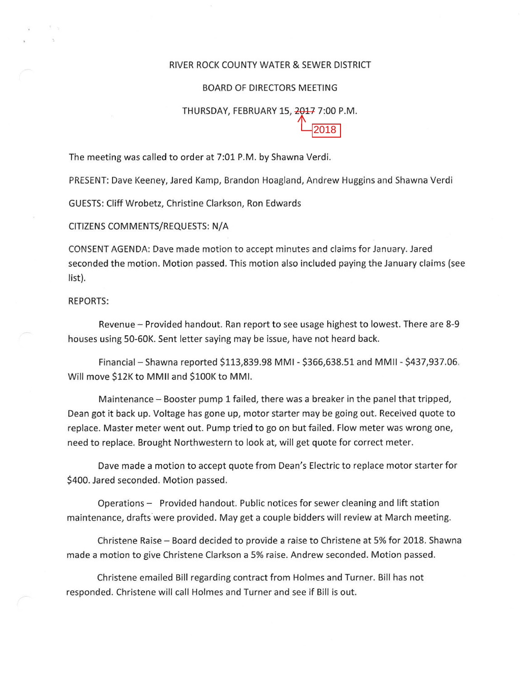#### RIVER ROCK COUNTY WATER & SEWER DISTRICT

### BOARD OF DIRECTORS MEETING

# THURSDAY, FEBRUARY 15, 2017 7:00 P.M. 2018

The meeting was called to order at 7:01 P.M. by Shawna Verdi.

PRESENT: Dave Keeney, Jared Kamp, Brandon Hoagland, Andrew Huggins and Shawna Verdi

GUESTS: Cliff Wrobetz, Christine Clarkson, Ron Edwards

### CITIZENS COMMENTS/REQUESTS: N/A

CONSENT AGENDA: Dave made motion to accept minutes and claims for January. Jared seconded the motion. Motion passed. This motion also included paying the January claims (see list).

## REPORTS:

Revenue- Provided handout. Ran report to see usage highest to lowest. There are 8-9 houses using 50-60K. Sent letter saying may be issue, have not heard back.

Financial- Shawna reported \$113,839.98 MMI- \$366,638.51 and MMII- \$437,937.06. Will move \$12K to MMII and \$lOOK to MMI.

Maintenance- Booster pump 1 failed, there was a breaker in the panel that tripped, Dean got it back up. Voltage has gone up, motor starter may be going out. Received quote to replace. Master meter went out. Pump tried to go on but failed. Flow meter was wrong one, need to replace. Brought Northwestern to look at, will get quote for correct meter.

Dave made a motion to accept quote from Dean's Electric to replace motor starter for \$400. Jared seconded. Motion passed.

Operations - Provided handout. Public notices for sewer cleaning and lift station maintenance, drafts were provided. May get a couple bidders will review at March meeting.

Christene Raise - Board decided to provide a raise to Christene at 5% for 2018. Shawna made a motion to give Christene Clarkson a 5% raise. Andrew seconded. Motion passed.

Christene emailed Bill regarding contract from Holmes and Turner. Bill has not responded. Christene will call Holmes and Turner and see if Bill is out.